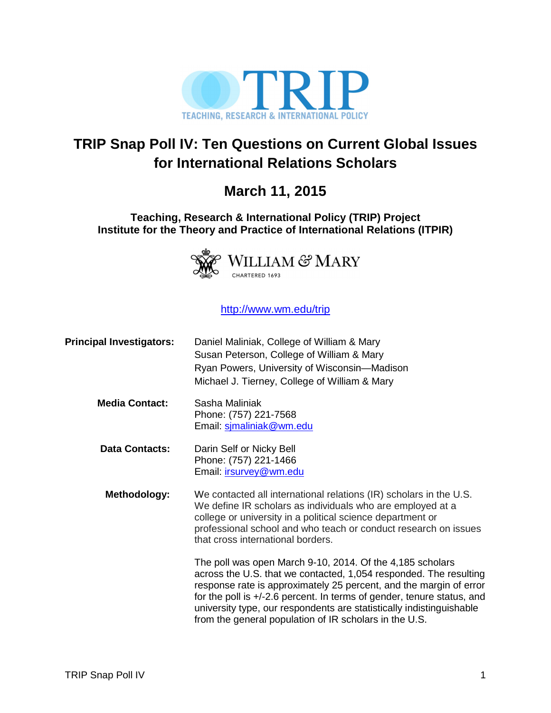

# **TRIP Snap Poll IV: Ten Questions on Current Global Issues for International Relations Scholars**

# **March 11, 2015**

### **Teaching, Research & International Policy (TRIP) Project Institute for the Theory and Practice of International Relations (ITPIR)**



### http://www.wm.edu/trip

| <b>Principal Investigators:</b> | Daniel Maliniak, College of William & Mary<br>Susan Peterson, College of William & Mary<br>Ryan Powers, University of Wisconsin-Madison<br>Michael J. Tierney, College of William & Mary                                                                                                                                                                                                                         |
|---------------------------------|------------------------------------------------------------------------------------------------------------------------------------------------------------------------------------------------------------------------------------------------------------------------------------------------------------------------------------------------------------------------------------------------------------------|
| <b>Media Contact:</b>           | Sasha Maliniak<br>Phone: (757) 221-7568<br>Email: simaliniak@wm.edu                                                                                                                                                                                                                                                                                                                                              |
| <b>Data Contacts:</b>           | Darin Self or Nicky Bell<br>Phone: (757) 221-1466<br>Email: <i>irsurvey@wm.edu</i>                                                                                                                                                                                                                                                                                                                               |
| <b>Methodology:</b>             | We contacted all international relations (IR) scholars in the U.S.<br>We define IR scholars as individuals who are employed at a<br>college or university in a political science department or<br>professional school and who teach or conduct research on issues<br>that cross international borders.                                                                                                           |
|                                 | The poll was open March 9-10, 2014. Of the 4,185 scholars<br>across the U.S. that we contacted, 1,054 responded. The resulting<br>response rate is approximately 25 percent, and the margin of error<br>for the poll is +/-2.6 percent. In terms of gender, tenure status, and<br>university type, our respondents are statistically indistinguishable<br>from the general population of IR scholars in the U.S. |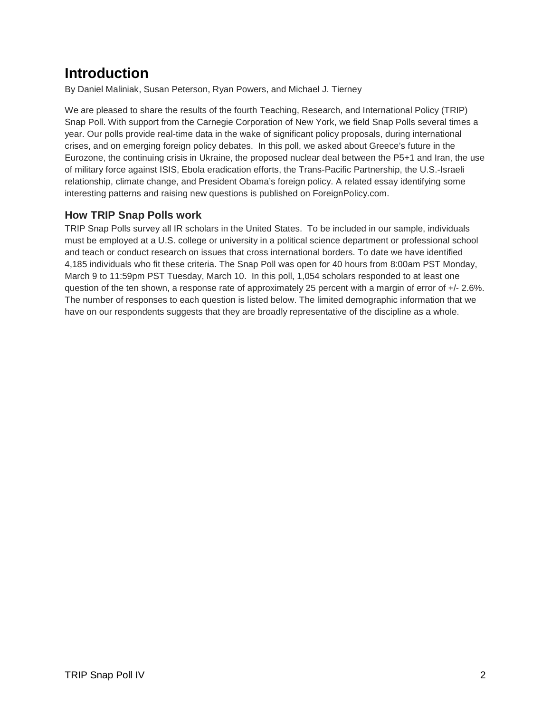# **Introduction**

By Daniel Maliniak, Susan Peterson, Ryan Powers, and Michael J. Tierney

We are pleased to share the results of the fourth Teaching, Research, and International Policy (TRIP) Snap Poll. With support from the Carnegie Corporation of New York, we field Snap Polls several times a year. Our polls provide real-time data in the wake of significant policy proposals, during international crises, and on emerging foreign policy debates. In this poll, we asked about Greece's future in the Eurozone, the continuing crisis in Ukraine, the proposed nuclear deal between the P5+1 and Iran, the use of military force against ISIS, Ebola eradication efforts, the Trans-Pacific Partnership, the U.S.-Israeli relationship, climate change, and President Obama's foreign policy. A related essay identifying some interesting patterns and raising new questions is published on ForeignPolicy.com.

### **How TRIP Snap Polls work**

TRIP Snap Polls survey all IR scholars in the United States. To be included in our sample, individuals must be employed at a U.S. college or university in a political science department or professional school and teach or conduct research on issues that cross international borders. To date we have identified 4,185 individuals who fit these criteria. The Snap Poll was open for 40 hours from 8:00am PST Monday, March 9 to 11:59pm PST Tuesday, March 10. In this poll, 1,054 scholars responded to at least one question of the ten shown, a response rate of approximately 25 percent with a margin of error of +/- 2.6%. The number of responses to each question is listed below. The limited demographic information that we have on our respondents suggests that they are broadly representative of the discipline as a whole.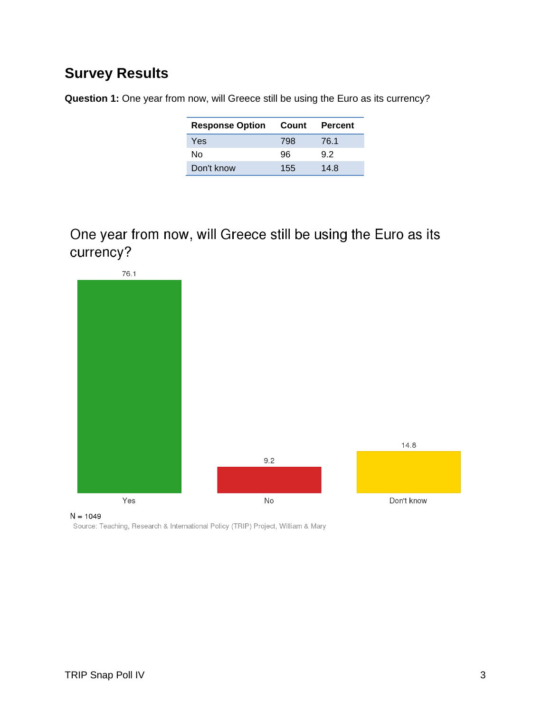## **Survey Results**

**Question 1:** One year from now, will Greece still be using the Euro as its currency?

| <b>Response Option</b> | Count | Percent |
|------------------------|-------|---------|
| Yes                    | 798   | 76.1    |
| N٥                     | 96    | 92      |
| Don't know             | 155   | 14.8    |

One year from now, will Greece still be using the Euro as its currency?



 $N = 1049$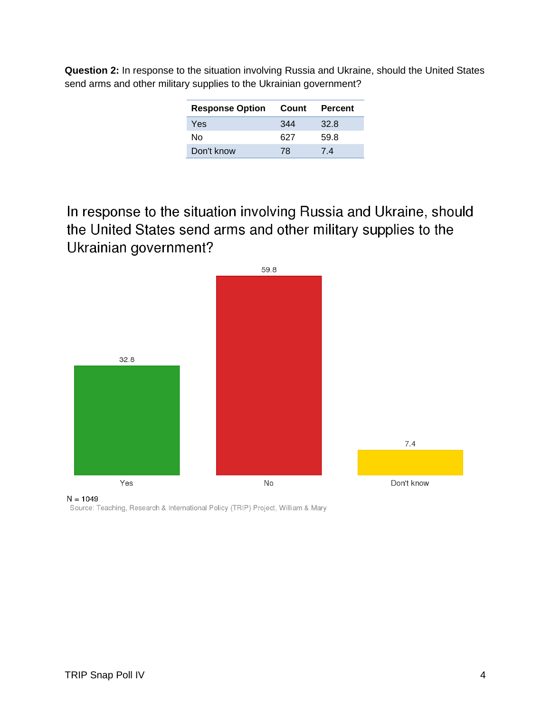| <b>Question 2:</b> In response to the situation involving Russia and Ukraine, should the United States |
|--------------------------------------------------------------------------------------------------------|
| send arms and other military supplies to the Ukrainian government?                                     |

| <b>Response Option</b> | Count | Percent |
|------------------------|-------|---------|
| Yes                    | 344   | 32.8    |
| N٥                     | 627   | 59.8    |
| Don't know             | 78    | 74      |

In response to the situation involving Russia and Ukraine, should the United States send arms and other military supplies to the Ukrainian government?



Source: Teaching, Research & International Policy (TRIP) Project, William & Mary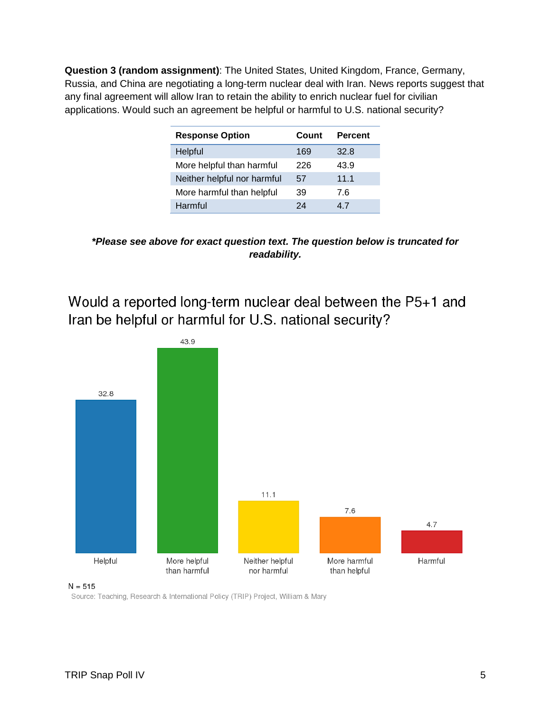**Question 3 (random assignment)**: The United States, United Kingdom, France, Germany, Russia, and China are negotiating a long-term nuclear deal with Iran. News reports suggest that any final agreement will allow Iran to retain the ability to enrich nuclear fuel for civilian applications. Would such an agreement be helpful or harmful to U.S. national security?

| <b>Response Option</b>      | Count | <b>Percent</b> |  |
|-----------------------------|-------|----------------|--|
| Helpful                     | 169   | 32.8           |  |
| More helpful than harmful   | 226   | 43.9           |  |
| Neither helpful nor harmful | 57    | 11.1           |  |
| More harmful than helpful   | 39    | 7.6            |  |
| Harmful                     | 24    | 47             |  |

**\*Please see above for exact question text. The question below is truncated for readability.** 

Would a reported long-term nuclear deal between the P5+1 and Iran be helpful or harmful for U.S. national security?



 $N = 515$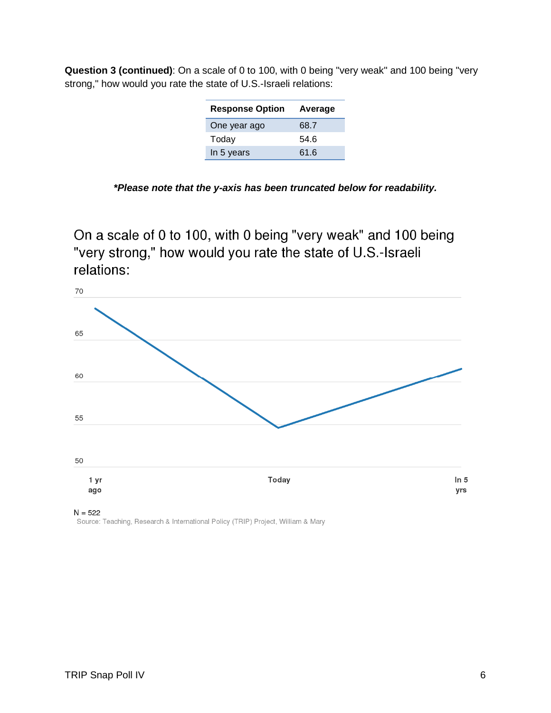| <b>Question 3 (continued)</b> : On a scale of 0 to 100, with 0 being "very weak" and 100 being "very |  |  |  |
|------------------------------------------------------------------------------------------------------|--|--|--|
| strong," how would you rate the state of U.S.-Israeli relations:                                     |  |  |  |

| <b>Response Option</b> | Average |
|------------------------|---------|
| One year ago           | 68.7    |
| Today                  | 54.6    |
| In 5 years             | 61.6    |
|                        |         |

|  | *Please note that the y-axis has been truncated below for readability. |  |
|--|------------------------------------------------------------------------|--|
|--|------------------------------------------------------------------------|--|

On a scale of 0 to 100, with 0 being "very weak" and 100 being "very strong," how would you rate the state of U.S.-Israeli relations:



 $N = 522$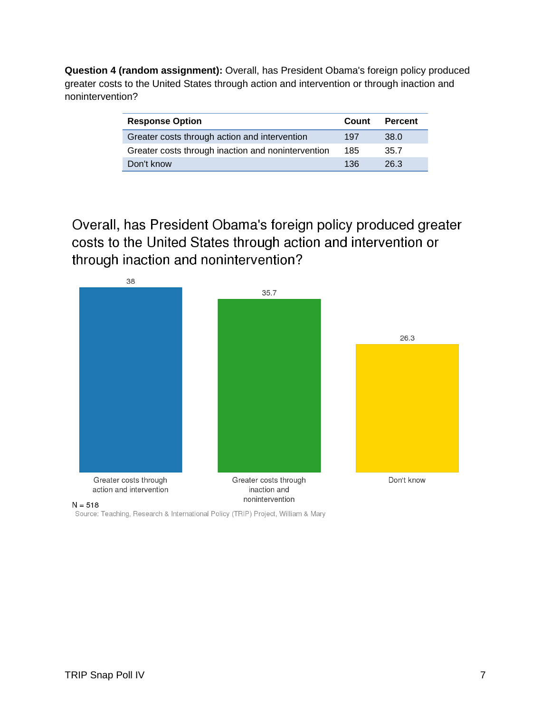**Question 4 (random assignment):** Overall, has President Obama's foreign policy produced greater costs to the United States through action and intervention or through inaction and nonintervention?

| <b>Response Option</b>                             | Count | <b>Percent</b> |
|----------------------------------------------------|-------|----------------|
| Greater costs through action and intervention      | 197   | 38.0           |
| Greater costs through inaction and nonintervention | 185   | 35.7           |
| Don't know                                         | 136   | 26.3           |

Overall, has President Obama's foreign policy produced greater costs to the United States through action and intervention or through inaction and nonintervention?



Source: Teaching, Research & International Policy (TRIP) Project, William & Mary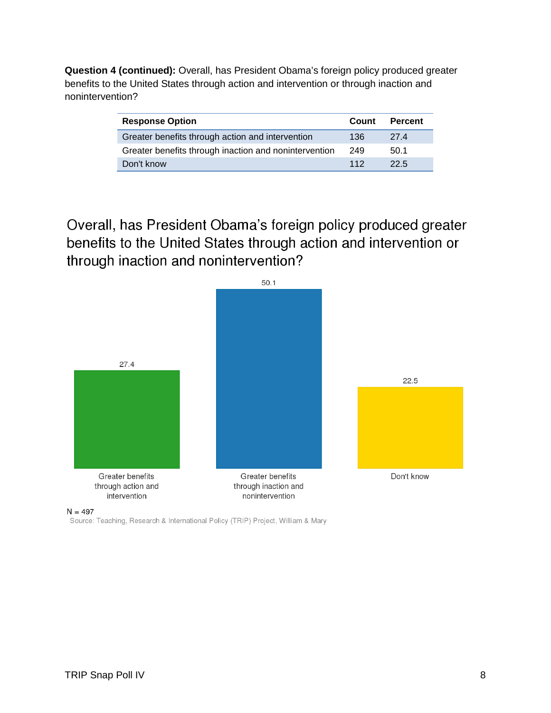**Question 4 (continued):** Overall, has President Obama's foreign policy produced greater benefits to the United States through action and intervention or through inaction and nonintervention?

| <b>Response Option</b>                                | Count | <b>Percent</b> |
|-------------------------------------------------------|-------|----------------|
| Greater benefits through action and intervention      | 136   | 274            |
| Greater benefits through inaction and nonintervention | 249   | 50.1           |
| Don't know                                            | 112   | 22.5           |

Overall, has President Obama's foreign policy produced greater benefits to the United States through action and intervention or through inaction and nonintervention?



 $N = 497$ 

Source: Teaching, Research & International Policy (TRIP) Project, William & Mary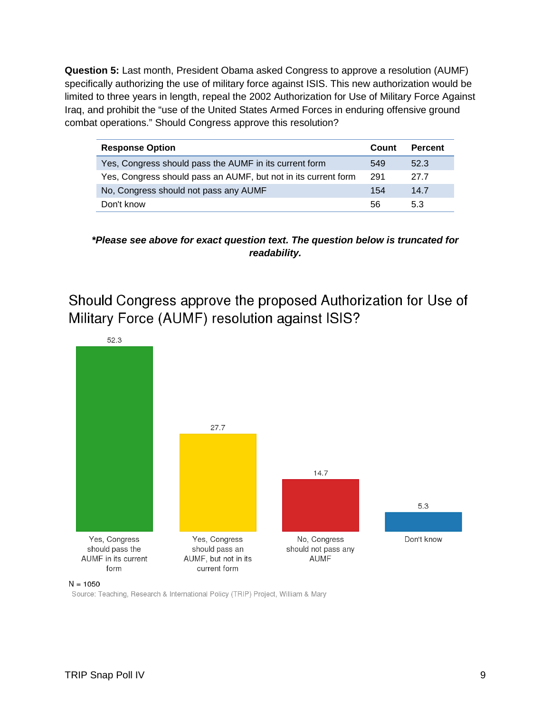**Question 5:** Last month, President Obama asked Congress to approve a resolution (AUMF) specifically authorizing the use of military force against ISIS. This new authorization would be limited to three years in length, repeal the 2002 Authorization for Use of Military Force Against Iraq, and prohibit the "use of the United States Armed Forces in enduring offensive ground combat operations." Should Congress approve this resolution?

| <b>Response Option</b>                                         |     | <b>Percent</b> |
|----------------------------------------------------------------|-----|----------------|
| Yes, Congress should pass the AUMF in its current form         | 549 | 52.3           |
| Yes, Congress should pass an AUMF, but not in its current form | 291 | 27 Z           |
| No, Congress should not pass any AUMF                          | 154 | 14.7           |
| Don't know                                                     | 56  | 5.3            |

**\*Please see above for exact question text. The question below is truncated for readability.** 

Should Congress approve the proposed Authorization for Use of Military Force (AUMF) resolution against ISIS?



 $N = 1050$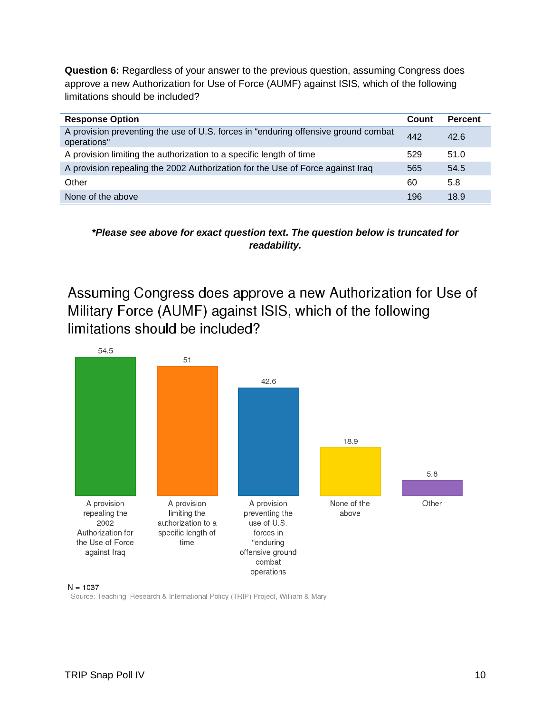**Question 6:** Regardless of your answer to the previous question, assuming Congress does approve a new Authorization for Use of Force (AUMF) against ISIS, which of the following limitations should be included?

| <b>Response Option</b>                                                                            | Count | <b>Percent</b> |
|---------------------------------------------------------------------------------------------------|-------|----------------|
| A provision preventing the use of U.S. forces in "enduring offensive ground combat<br>operations" | 442   | 42.6           |
| A provision limiting the authorization to a specific length of time                               | 529   | 51.0           |
| A provision repealing the 2002 Authorization for the Use of Force against Iraq                    | 565   | 54.5           |
| Other                                                                                             | 60    | 5.8            |
| None of the above                                                                                 | 196   | 18.9           |

**\*Please see above for exact question text. The question below is truncated for readability.** 

Assuming Congress does approve a new Authorization for Use of Military Force (AUMF) against ISIS, which of the following limitations should be included?



#### $N = 1037$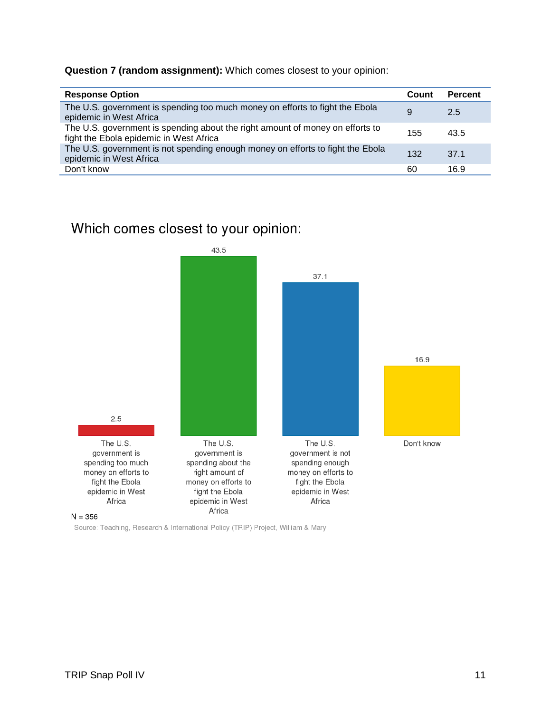**Question 7 (random assignment):** Which comes closest to your opinion:

| <b>Response Option</b>                                                                                                   | Count | <b>Percent</b> |
|--------------------------------------------------------------------------------------------------------------------------|-------|----------------|
| The U.S. government is spending too much money on efforts to fight the Ebola<br>epidemic in West Africa                  | 9     | 2.5            |
| The U.S. government is spending about the right amount of money on efforts to<br>fight the Ebola epidemic in West Africa | 155   | 43.5           |
| The U.S. government is not spending enough money on efforts to fight the Ebola<br>epidemic in West Africa                | 132   | 37.1           |
| Don't know                                                                                                               | 60    | 16.9           |

## Which comes closest to your opinion:

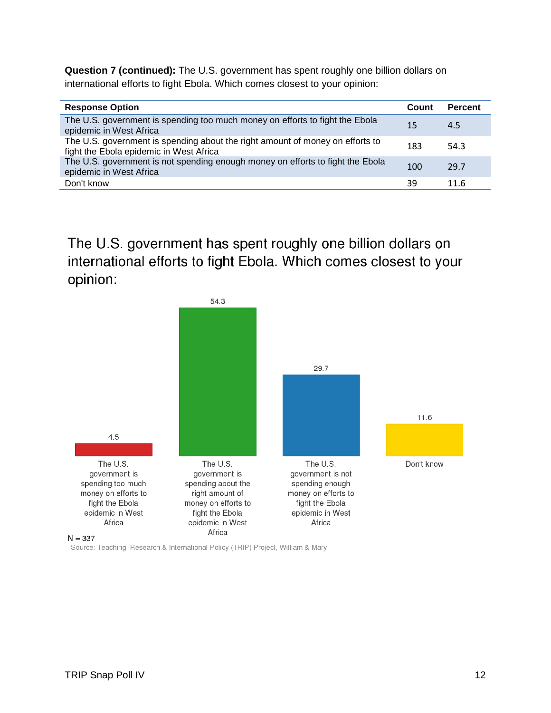**Question 7 (continued):** The U.S. government has spent roughly one billion dollars on international efforts to fight Ebola. Which comes closest to your opinion:

| <b>Response Option</b>                                                                                                   | Count | <b>Percent</b> |
|--------------------------------------------------------------------------------------------------------------------------|-------|----------------|
| The U.S. government is spending too much money on efforts to fight the Ebola<br>epidemic in West Africa                  | 15    | 4.5            |
| The U.S. government is spending about the right amount of money on efforts to<br>fight the Ebola epidemic in West Africa | 183   | 54.3           |
| The U.S. government is not spending enough money on efforts to fight the Ebola<br>epidemic in West Africa                | 100   | 29.7           |
| Don't know                                                                                                               | 39    | 11.6           |

The U.S. government has spent roughly one billion dollars on international efforts to fight Ebola. Which comes closest to your opinion:

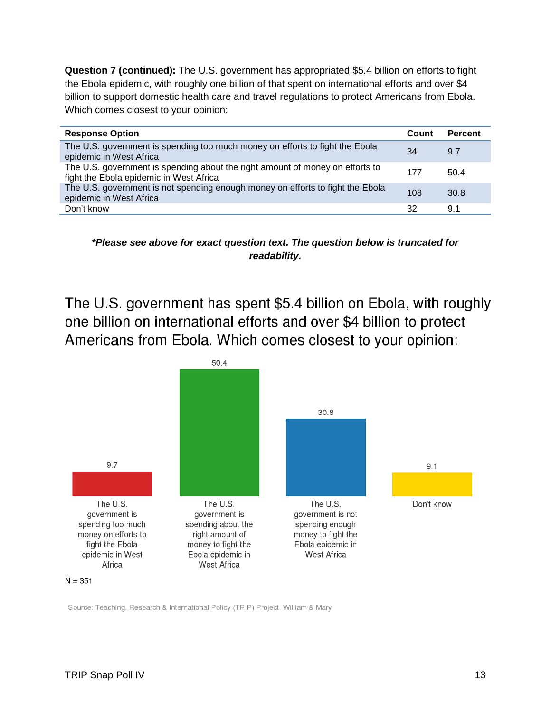**Question 7 (continued):** The U.S. government has appropriated \$5.4 billion on efforts to fight the Ebola epidemic, with roughly one billion of that spent on international efforts and over \$4 billion to support domestic health care and travel regulations to protect Americans from Ebola. Which comes closest to your opinion:

| <b>Response Option</b>                                                                                                   | Count | <b>Percent</b> |
|--------------------------------------------------------------------------------------------------------------------------|-------|----------------|
| The U.S. government is spending too much money on efforts to fight the Ebola<br>epidemic in West Africa                  | 34    | 9.7            |
| The U.S. government is spending about the right amount of money on efforts to<br>fight the Ebola epidemic in West Africa | 177   | 50.4           |
| The U.S. government is not spending enough money on efforts to fight the Ebola<br>epidemic in West Africa                | 108   | 30.8           |
| Don't know                                                                                                               | 32    | 9.1            |

**\*Please see above for exact question text. The question below is truncated for readability.** 

The U.S. government has spent \$5.4 billion on Ebola, with roughly one billion on international efforts and over \$4 billion to protect Americans from Ebola. Which comes closest to your opinion:

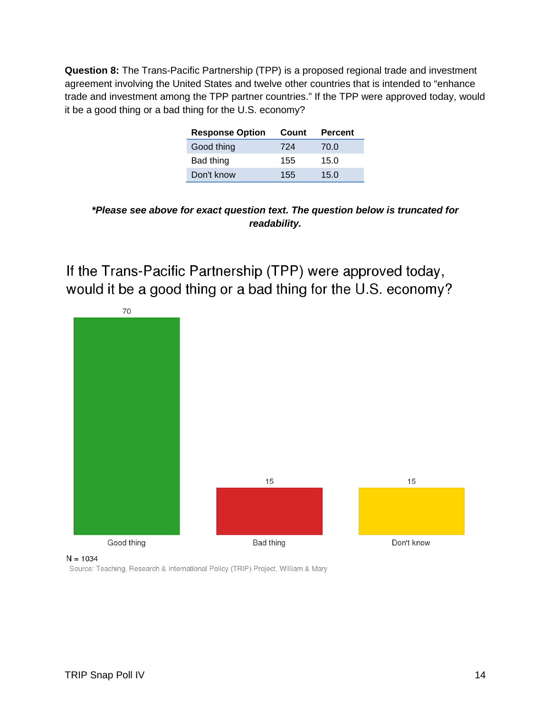**Question 8:** The Trans-Pacific Partnership (TPP) is a proposed regional trade and investment agreement involving the United States and twelve other countries that is intended to "enhance trade and investment among the TPP partner countries." If the TPP were approved today, would it be a good thing or a bad thing for the U.S. economy?

| <b>Response Option</b> | Count | <b>Percent</b> |
|------------------------|-------|----------------|
| Good thing             | 724   | 70.0           |
| Bad thing              | 155   | 15.0           |
| Don't know             | 155   | 15.0           |

**<sup>\*</sup>Please see above for exact question text. The question below is truncated for readability.** 

If the Trans-Pacific Partnership (TPP) were approved today, would it be a good thing or a bad thing for the U.S. economy?



 $N = 1034$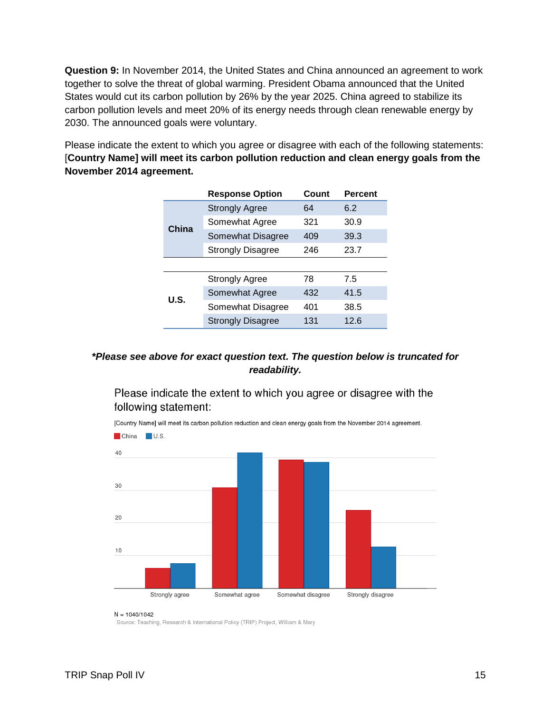**Question 9:** In November 2014, the United States and China announced an agreement to work together to solve the threat of global warming. President Obama announced that the United States would cut its carbon pollution by 26% by the year 2025. China agreed to stabilize its carbon pollution levels and meet 20% of its energy needs through clean renewable energy by 2030. The announced goals were voluntary.

Please indicate the extent to which you agree or disagree with each of the following statements: [**Country Name] will meet its carbon pollution reduction and clean energy goals from the November 2014 agreement.** 

|       | <b>Response Option</b>   | Count | <b>Percent</b> |
|-------|--------------------------|-------|----------------|
| China | <b>Strongly Agree</b>    | 64    | 6.2            |
|       | Somewhat Agree           | 321   | 30.9           |
|       | Somewhat Disagree        | 409   | 39.3           |
|       | <b>Strongly Disagree</b> | 246   | 23.7           |
|       |                          |       |                |
| U.S.  | <b>Strongly Agree</b>    | 78    | 7.5            |
|       | Somewhat Agree           | 432   | 41.5           |
|       | Somewhat Disagree        | 401   | 38.5           |
|       | <b>Strongly Disagree</b> | 131   | 12.6           |
|       |                          |       |                |

### **\*Please see above for exact question text. The question below is truncated for readability.**

Please indicate the extent to which you agree or disagree with the following statement:



[Country Name] will meet its carbon pollution reduction and clean energy goals from the November 2014 agreement.

#### $N = 1040/1042$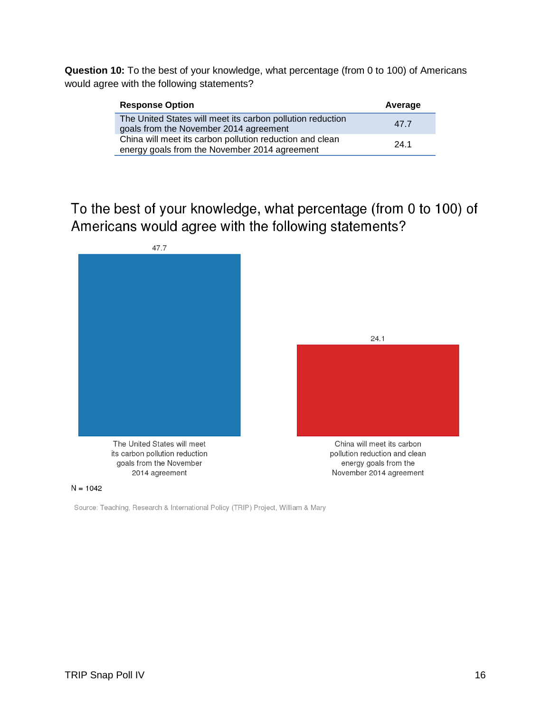**Question 10:** To the best of your knowledge, what percentage (from 0 to 100) of Americans would agree with the following statements?

| <b>Response Option</b>                                                                                    | Average |
|-----------------------------------------------------------------------------------------------------------|---------|
| The United States will meet its carbon pollution reduction<br>goals from the November 2014 agreement      | 47.7    |
| China will meet its carbon pollution reduction and clean<br>energy goals from the November 2014 agreement | 24.1    |

To the best of your knowledge, what percentage (from 0 to 100) of Americans would agree with the following statements?